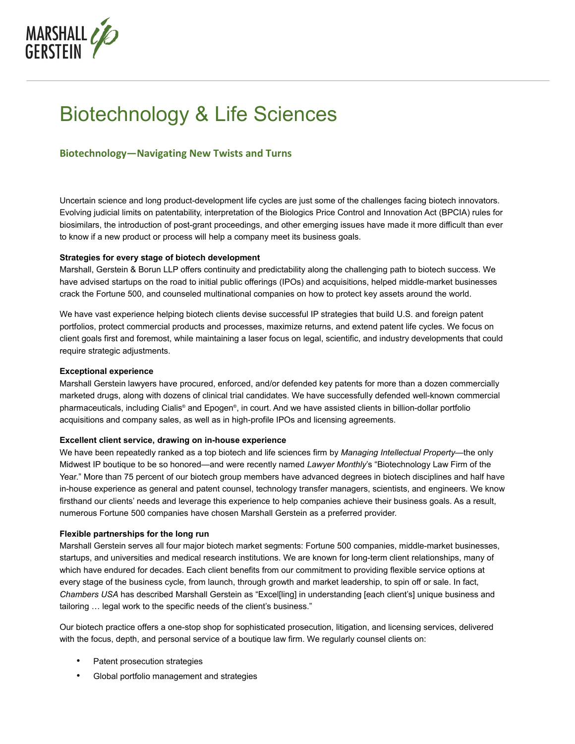

# Biotechnology & Life Sciences

# **Biotechnology—Navigating New Twists and Turns**

Uncertain science and long product-development life cycles are just some of the challenges facing biotech innovators. Evolving judicial limits on patentability, interpretation of the Biologics Price Control and Innovation Act (BPCIA) rules for biosimilars, the introduction of post-grant proceedings, and other emerging issues have made it more difficult than ever to know if a new product or process will help a company meet its business goals.

## **Strategies for every stage of biotech development**

Marshall, Gerstein & Borun LLP offers continuity and predictability along the challenging path to biotech success. We have advised startups on the road to initial public offerings (IPOs) and acquisitions, helped middle-market businesses crack the Fortune 500, and counseled multinational companies on how to protect key assets around the world.

We have vast experience helping biotech clients devise successful IP strategies that build U.S. and foreign patent portfolios, protect commercial products and processes, maximize returns, and extend patent life cycles. We focus on client goals first and foremost, while maintaining a laser focus on legal, scientific, and industry developments that could require strategic adjustments.

### **Exceptional experience**

Marshall Gerstein lawyers have procured, enforced, and/or defended key patents for more than a dozen commercially marketed drugs, along with dozens of clinical trial candidates. We have successfully defended well-known commercial pharmaceuticals, including Cialis® and Epogen®, in court. And we have assisted clients in billion-dollar portfolio acquisitions and company sales, as well as in high-profile IPOs and licensing agreements.

### **Excellent client service, drawing on in-house experience**

We have been repeatedly ranked as a top biotech and life sciences firm by *Managing Intellectual Property*—the only Midwest IP boutique to be so honored—and were recently named *Lawyer Monthly*'s "Biotechnology Law Firm of the Year." More than 75 percent of our biotech group members have advanced degrees in biotech disciplines and half have in-house experience as general and patent counsel, technology transfer managers, scientists, and engineers. We know firsthand our clients' needs and leverage this experience to help companies achieve their business goals. As a result, numerous Fortune 500 companies have chosen Marshall Gerstein as a preferred provider.

### **Flexible partnerships for the long run**

Marshall Gerstein serves all four major biotech market segments: Fortune 500 companies, middle-market businesses, startups, and universities and medical research institutions. We are known for long-term client relationships, many of which have endured for decades. Each client benefits from our commitment to providing flexible service options at every stage of the business cycle, from launch, through growth and market leadership, to spin off or sale. In fact, *Chambers USA* has described Marshall Gerstein as "Excel[ling] in understanding [each client's] unique business and tailoring … legal work to the specific needs of the client's business."

Our biotech practice offers a one-stop shop for sophisticated prosecution, litigation, and licensing services, delivered with the focus, depth, and personal service of a boutique law firm. We regularly counsel clients on:

- Patent prosecution strategies
- Global portfolio management and strategies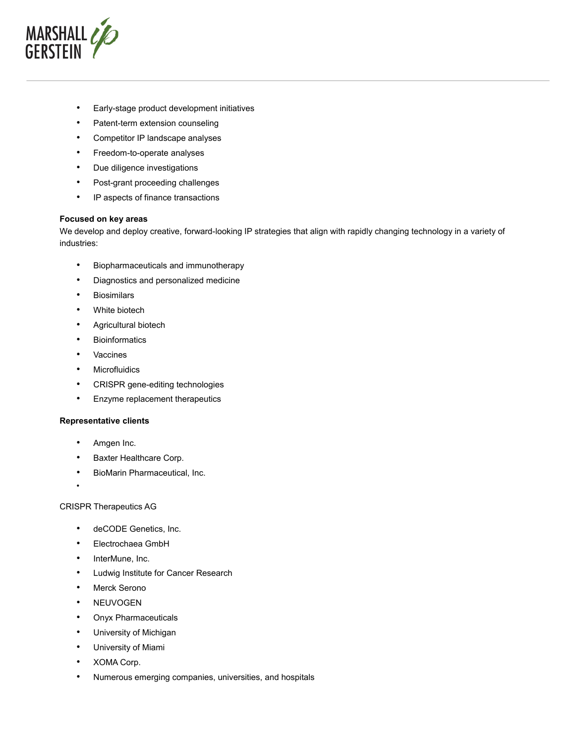

- Early-stage product development initiatives
- Patent-term extension counseling
- Competitor IP landscape analyses
- Freedom-to-operate analyses
- Due diligence investigations
- Post-grant proceeding challenges
- IP aspects of finance transactions

#### **Focused on key areas**

We develop and deploy creative, forward-looking IP strategies that align with rapidly changing technology in a variety of industries:

- Biopharmaceuticals and immunotherapy
- Diagnostics and personalized medicine
- Biosimilars
- White biotech
- Agricultural biotech
- Bioinformatics
- Vaccines
- Microfluidics
- CRISPR gene-editing technologies
- Enzyme replacement therapeutics

### **Representative clients**

- Amgen Inc.
- Baxter Healthcare Corp.
- BioMarin Pharmaceutical, Inc.
- •

## CRISPR Therapeutics AG

- deCODE Genetics, Inc.
- Electrochaea GmbH
- InterMune, Inc.
- Ludwig Institute for Cancer Research
- Merck Serono
- NEUVOGEN
- Onyx Pharmaceuticals
- University of Michigan
- University of Miami
- XOMA Corp.
- Numerous emerging companies, universities, and hospitals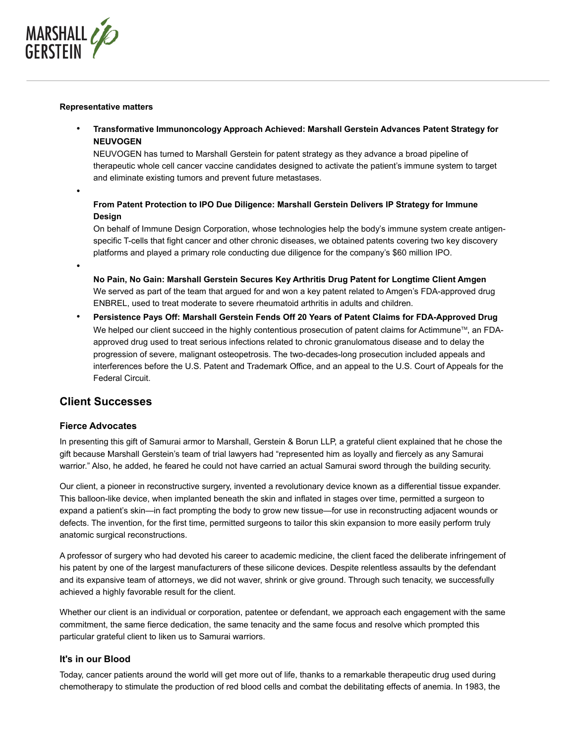

#### **Representative matters**

• **Transformative Immunoncology Approach Achieved: Marshall Gerstein Advances Patent Strategy for NEUVOGEN**

NEUVOGEN has turned to Marshall Gerstein for patent strategy as they advance a broad pipeline of therapeutic whole cell cancer vaccine candidates designed to activate the patient's immune system to target and eliminate existing tumors and prevent future metastases.

•

# **From Patent Protection to IPO Due Diligence: Marshall Gerstein Delivers IP Strategy for Immune Design**

On behalf of Immune Design Corporation, whose technologies help the body's immune system create antigenspecific T-cells that fight cancer and other chronic diseases, we obtained patents covering two key discovery platforms and played a primary role conducting due diligence for the company's \$60 million IPO.

•

**No Pain, No Gain: Marshall Gerstein Secures Key Arthritis Drug Patent for Longtime Client Amgen** We served as part of the team that argued for and won a key patent related to Amgen's FDA-approved drug ENBREL, used to treat moderate to severe rheumatoid arthritis in adults and children.

• **Persistence Pays Off: Marshall Gerstein Fends Off 20 Years of Patent Claims for FDA-Approved Drug** We helped our client succeed in the highly contentious prosecution of patent claims for Actimmune<sup>™</sup>, an FDAapproved drug used to treat serious infections related to chronic granulomatous disease and to delay the progression of severe, malignant osteopetrosis. The two-decades-long prosecution included appeals and interferences before the U.S. Patent and Trademark Office, and an appeal to the U.S. Court of Appeals for the Federal Circuit.

# **Client Successes**

# **Fierce Advocates**

In presenting this gift of Samurai armor to Marshall, Gerstein & Borun LLP, a grateful client explained that he chose the gift because Marshall Gerstein's team of trial lawyers had "represented him as loyally and fiercely as any Samurai warrior." Also, he added, he feared he could not have carried an actual Samurai sword through the building security.

Our client, a pioneer in reconstructive surgery, invented a revolutionary device known as a differential tissue expander. This balloon-like device, when implanted beneath the skin and inflated in stages over time, permitted a surgeon to expand a patient's skin—in fact prompting the body to grow new tissue—for use in reconstructing adjacent wounds or defects. The invention, for the first time, permitted surgeons to tailor this skin expansion to more easily perform truly anatomic surgical reconstructions.

A professor of surgery who had devoted his career to academic medicine, the client faced the deliberate infringement of his patent by one of the largest manufacturers of these silicone devices. Despite relentless assaults by the defendant and its expansive team of attorneys, we did not waver, shrink or give ground. Through such tenacity, we successfully achieved a highly favorable result for the client.

Whether our client is an individual or corporation, patentee or defendant, we approach each engagement with the same commitment, the same fierce dedication, the same tenacity and the same focus and resolve which prompted this particular grateful client to liken us to Samurai warriors.

# **It's in our Blood**

Today, cancer patients around the world will get more out of life, thanks to a remarkable therapeutic drug used during chemotherapy to stimulate the production of red blood cells and combat the debilitating effects of anemia. In 1983, the